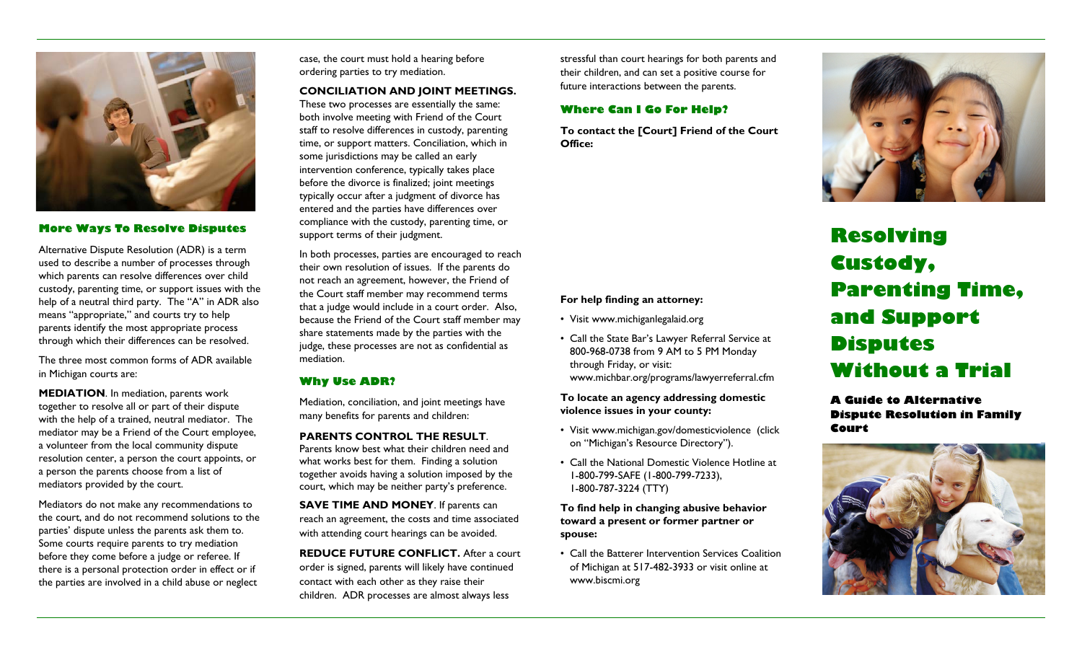

# **More Ways To Resolve Disputes**

Alternative Dispute Resolution (ADR) is a term used to describe a number of processes through which parents can resolve differences over child custody, parenting time, or support issues with the help of a neutral third party. The "A" in ADR also means "appropriate," and courts try to help parents identify the most appropriate process through which their differences can be resolved.

The three most common forms of ADR available in Michigan courts are:

**MEDIATION**. In mediation, parents work together to resolve all or part of their dispute with the help of a trained, neutral mediator. The mediator may be a Friend of the Court employee, a volunteer from the local community dispute resolution center, a person the court appoints, or a person the parents choose from a list of mediators provided by the court.

Mediators do not make any recommendations to the court, and do not recommend solutions to the parties' dispute unless the parents ask them to. Some courts require parents to try mediation before they come before a judge or referee. If there is a personal protection order in effect or if the parties are involved in a child abuse or neglect

case, the court must hold a hearing before ordering parties to try mediation.

## **CONCILIATION AND JOINT MEETINGS.**

These two processes are essentially the same: both involve meeting with Friend of the Court staff to resolve differences in custody, parenting time, or support matters. Conciliation, which in some jurisdictions may be called an early intervention conference, typically takes place before the divorce is finalized; joint meetings typically occur after a judgment of divorce has entered and the parties have differences over compliance with the custody, parenting time, or support terms of their judgment.

In both processes, parties are encouraged to reach their own resolution of issues. If the parents do not reach an agreement, however, the Friend of the Court staff member may recommend terms that a judge would include in a court order. Also, because the Friend of the Court staff member may share statements made by the parties with the judge, these processes are not as confidential as mediation.

## **Why Use ADR?**

Mediation, conciliation, and joint meetings have many benefits for parents and children:

**PARENTS CONTROL THE RESULT**. Parents know best what their children need and what works best for them. Finding a solution together avoids having a solution imposed by the court, which may be neither party's preference.

**SAVE TIME AND MONEY**. If parents can reach an agreement, the costs and time associated with attending court hearings can be avoided.

**REDUCE FUTURE CONFLICT.** After a court order is signed, parents will likely have continued contact with each other as they raise their children. ADR processes are almost always less

stressful than court hearings for both parents and their children, and can set a positive course for future interactions between the parents.

## **Where Can I Go For Help?**

**To contact the [Court] Friend of the Court Office:** 



# **Resolving Custody, Parenting Time, and Support Disputes Without a Trial**

**A Guide to Alternative Dispute Resolution in Family Court** 



#### **For help finding an attorney:**

- Visit www.michiganlegalaid.org
- Call the State Bar's Lawyer Referral Service at 800-968-0738 from 9 AM to 5 PM Monday through Friday, or visit: www.michbar.org/programs/lawyerreferral.cfm

**To locate an agency addressing domestic violence issues in your county:** 

- Visit www.michigan.gov/domesticviolence (click on "Michigan's Resource Directory").
- Call the National Domestic Violence Hotline at 1-800-799-SAFE (1-800-799-7233), 1-800-787-3224 (TTY)

**To find help in changing abusive behavior toward a present or former partner or spouse:** 

• Call the Batterer Intervention Services Coalition of Michigan at 517-482-3933 or visit online at www.biscmi.org